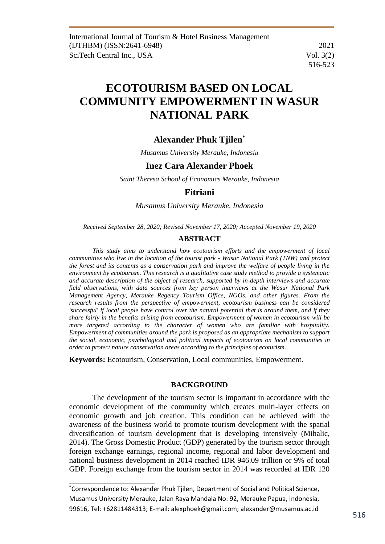# **ECOTOURISM BASED ON LOCAL COMMUNITY EMPOWERMENT IN WASUR NATIONAL PARK**

# **Alexander Phuk Tjilen\***

*Musamus University Merauke, Indonesia*

# **Inez Cara Alexander Phoek**

*Saint Theresa School of Economics Merauke, Indonesia*

# **Fitriani**

*Musamus University Merauke, Indonesia* 

*Received September 28, 2020; Revised November 17, 2020; Accepted November 19, 2020*

# **ABSTRACT**

*This study aims to understand how ecotourism efforts and the empowerment of local communities who live in the location of the tourist park - Wasur National Park (TNW) and protect*  the forest and its contents as a conservation park and improve the welfare of people living in the *environment by ecotourism. This research is a qualitative case study method to provide a systematic and accurate description of the object of research, supported by in-depth interviews and accurate field observations, with data sources from key person interviews at the Wasur National Park Management Agency, Merauke Regency Tourism Office, NGOs, and other figures. From the research results from the perspective of empowerment, ecotourism business can be considered 'successful' if local people have control over the natural potential that is around them, and if they share fairly in the benefits arising from ecotourism. Empowerment of women in ecotourism will be more targeted according to the character of women who are familiar with hospitality. Empowerment of communities around the park is proposed as an appropriate mechanism to support the social, economic, psychological and political impacts of ecotourism on local communities in order to protect nature conservation areas according to the principles of ecoturism.* 

**Keywords:** Ecotourism, Conservation, Local communities, Empowerment.

# **BACKGROUND**

The development of the tourism sector is important in accordance with the economic development of the community which creates multi-layer effects on economic growth and job creation. This condition can be achieved with the awareness of the business world to promote tourism development with the spatial diversification of tourism development that is developing intensively (Mihalic, 2014). The Gross Domestic Product (GDP) generated by the tourism sector through foreign exchange earnings, regional income, regional and labor development and national business development in 2014 reached IDR 946.09 trillion or 9% of total GDP. Foreign exchange from the tourism sector in 2014 was recorded at IDR 120

<sup>\*</sup>Correspondence to: Alexander Phuk Tjilen, Department of Social and Political Science, Musamus University Merauke, Jalan Raya Mandala No: 92, Merauke Papua, Indonesia, 99616, Tel: +62811484313; E-mail: alexphoek@gmail.com; alexander@musamus.ac.id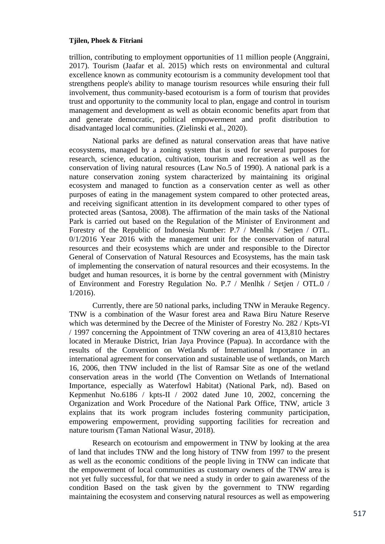trillion, contributing to employment opportunities of 11 million people (Anggraini, 2017). Tourism (Jaafar et al. 2015) which rests on environmental and cultural excellence known as community ecotourism is a community development tool that strengthens people's ability to manage tourism resources while ensuring their full involvement, thus community-based ecotourism is a form of tourism that provides trust and opportunity to the community local to plan, engage and control in tourism management and development as well as obtain economic benefits apart from that and generate democratic, political empowerment and profit distribution to disadvantaged local communities. (Zielinski et al., 2020).

National parks are defined as natural conservation areas that have native ecosystems, managed by a zoning system that is used for several purposes for research, science, education, cultivation, tourism and recreation as well as the conservation of living natural resources (Law No.5 of 1990). A national park is a nature conservation zoning system characterized by maintaining its original ecosystem and managed to function as a conservation center as well as other purposes of eating in the management system compared to other protected areas, and receiving significant attention in its development compared to other types of protected areas (Santosa, 2008). The affirmation of the main tasks of the National Park is carried out based on the Regulation of the Minister of Environment and Forestry of the Republic of Indonesia Number: P.7 / Menlhk / Setjen / OTL. 0/1/2016 Year 2016 with the management unit for the conservation of natural resources and their ecosystems which are under and responsible to the Director General of Conservation of Natural Resources and Ecosystems, has the main task of implementing the conservation of natural resources and their ecosystems. In the budget and human resources, it is borne by the central government with (Ministry of Environment and Forestry Regulation No. P.7 / Menlhk / Setjen / OTL.0 / 1/2016).

Currently, there are 50 national parks, including TNW in Merauke Regency. TNW is a combination of the Wasur forest area and Rawa Biru Nature Reserve which was determined by the Decree of the Minister of Forestry No. 282 / Kpts-VI / 1997 concerning the Appointment of TNW covering an area of 413,810 hectares located in Merauke District, Irian Jaya Province (Papua). In accordance with the results of the Convention on Wetlands of International Importance in an international agreement for conservation and sustainable use of wetlands, on March 16, 2006, then TNW included in the list of Ramsar Site as one of the wetland conservation areas in the world (The Convention on Wetlands of International Importance, especially as Waterfowl Habitat) (National Park, nd). Based on Kepmenhut No.6186 / kpts-II / 2002 dated June 10, 2002, concerning the Organization and Work Procedure of the National Park Office, TNW, article 3 explains that its work program includes fostering community participation, empowering empowerment, providing supporting facilities for recreation and nature tourism (Taman National Wasur, 2018).

Research on ecotourism and empowerment in TNW by looking at the area of land that includes TNW and the long history of TNW from 1997 to the present as well as the economic conditions of the people living in TNW can indicate that the empowerment of local communities as customary owners of the TNW area is not yet fully successful, for that we need a study in order to gain awareness of the condition Based on the task given by the government to TNW regarding maintaining the ecosystem and conserving natural resources as well as empowering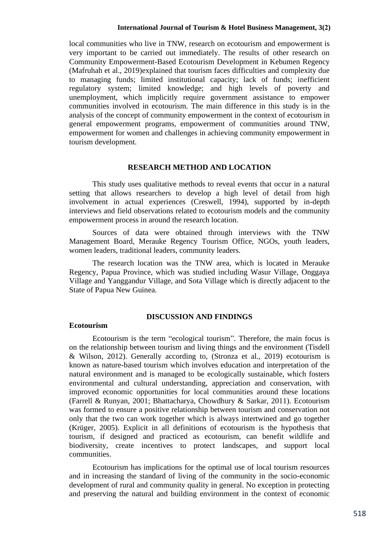local communities who live in TNW, research on ecotourism and empowerment is very important to be carried out immediately. The results of other research on Community Empowerment-Based Ecotourism Development in Kebumen Regency (Mafruhah et al., 2019)explained that tourism faces difficulties and complexity due to managing funds; limited institutional capacity; lack of funds; inefficient regulatory system; limited knowledge; and high levels of poverty and unemployment, which implicitly require government assistance to empower communities involved in ecotourism. The main difference in this study is in the analysis of the concept of community empowerment in the context of ecotourism in general empowerment programs, empowerment of communities around TNW, empowerment for women and challenges in achieving community empowerment in tourism development.

# **RESEARCH METHOD AND LOCATION**

This study uses qualitative methods to reveal events that occur in a natural setting that allows researchers to develop a high level of detail from high involvement in actual experiences (Creswell, 1994), supported by in-depth interviews and field observations related to ecotourism models and the community empowerment process in around the research location.

Sources of data were obtained through interviews with the TNW Management Board, Merauke Regency Tourism Office, NGOs, youth leaders, women leaders, traditional leaders, community leaders.

The research location was the TNW area, which is located in Merauke Regency, Papua Province, which was studied including Wasur Village, Onggaya Village and Yanggandur Village, and Sota Village which is directly adjacent to the State of Papua New Guinea.

# **DISCUSSION AND FINDINGS**

#### **Ecotourism**

Ecotourism is the term "ecological tourism". Therefore, the main focus is on the relationship between tourism and living things and the environment (Tisdell & Wilson, 2012). Generally according to, (Stronza et al., 2019) ecotourism is known as nature-based tourism which involves education and interpretation of the natural environment and is managed to be ecologically sustainable, which fosters environmental and cultural understanding, appreciation and conservation, with improved economic opportunities for local communities around these locations (Farrell & Runyan, 2001; Bhattacharya, Chowdhury & Sarkar, 2011). Ecotourism was formed to ensure a positive relationship between tourism and conservation not only that the two can work together which is always intertwined and go together (Krüger, 2005). Explicit in all definitions of ecotourism is the hypothesis that tourism, if designed and practiced as ecotourism, can benefit wildlife and biodiversity, create incentives to protect landscapes, and support local communities.

Ecotourism has implications for the optimal use of local tourism resources and in increasing the standard of living of the community in the socio-economic development of rural and community quality in general. No exception in protecting and preserving the natural and building environment in the context of economic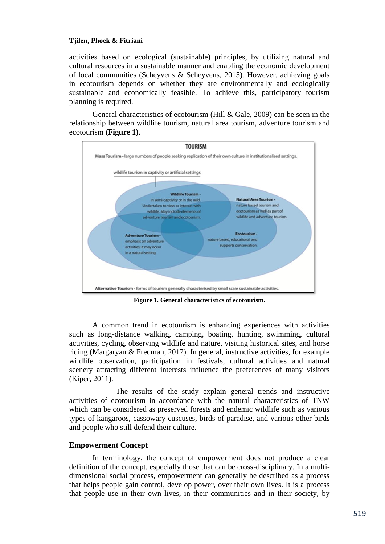activities based on ecological (sustainable) principles, by utilizing natural and cultural resources in a sustainable manner and enabling the economic development of local communities (Scheyvens & Scheyvens, 2015). However, achieving goals in ecotourism depends on whether they are environmentally and ecologically sustainable and economically feasible. To achieve this, participatory tourism planning is required.

General characteristics of ecotourism (Hill & Gale, 2009) can be seen in the relationship between wildlife tourism, natural area tourism, adventure tourism and ecotourism **(Figure 1)**.



**Figure 1. General characteristics of ecotourism.**

A common trend in ecotourism is enhancing experiences with activities such as long-distance walking, camping, boating, hunting, swimming, cultural activities, cycling, observing wildlife and nature, visiting historical sites, and horse riding (Margaryan & Fredman, 2017). In general, instructive activities, for example wildlife observation, participation in festivals, cultural activities and natural scenery attracting different interests influence the preferences of many visitors (Kiper, 2011).

The results of the study explain general trends and instructive activities of ecotourism in accordance with the natural characteristics of TNW which can be considered as preserved forests and endemic wildlife such as various types of kangaroos, cassowary cuscuses, birds of paradise, and various other birds and people who still defend their culture.

# **Empowerment Concept**

In terminology, the concept of empowerment does not produce a clear definition of the concept, especially those that can be cross-disciplinary. In a multidimensional social process, empowerment can generally be described as a process that helps people gain control, develop power, over their own lives. It is a process that people use in their own lives, in their communities and in their society, by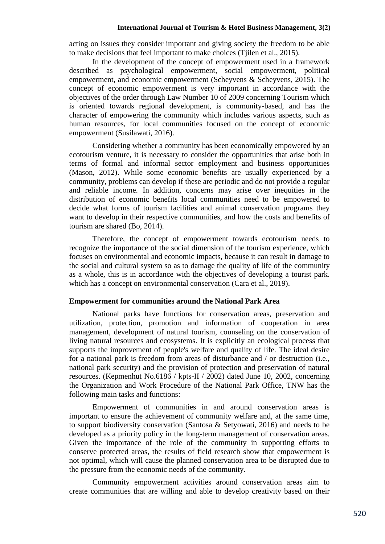acting on issues they consider important and giving society the freedom to be able to make decisions that feel important to make choices (Tjilen et al., 2015).

In the development of the concept of empowerment used in a framework described as psychological empowerment, social empowerment, political empowerment, and economic empowerment (Scheyvens & Scheyvens, 2015). The concept of economic empowerment is very important in accordance with the objectives of the order through Law Number 10 of 2009 concerning Tourism which is oriented towards regional development, is community-based, and has the character of empowering the community which includes various aspects, such as human resources, for local communities focused on the concept of economic empowerment (Susilawati, 2016).

Considering whether a community has been economically empowered by an ecotourism venture, it is necessary to consider the opportunities that arise both in terms of formal and informal sector employment and business opportunities (Mason, 2012). While some economic benefits are usually experienced by a community, problems can develop if these are periodic and do not provide a regular and reliable income. In addition, concerns may arise over inequities in the distribution of economic benefits local communities need to be empowered to decide what forms of tourism facilities and animal conservation programs they want to develop in their respective communities, and how the costs and benefits of tourism are shared (Bo, 2014).

Therefore, the concept of empowerment towards ecotourism needs to recognize the importance of the social dimension of the tourism experience, which focuses on environmental and economic impacts, because it can result in damage to the social and cultural system so as to damage the quality of life of the community as a whole, this is in accordance with the objectives of developing a tourist park. which has a concept on environmental conservation (Cara et al., 2019).

# **Empowerment for communities around the National Park Area**

National parks have functions for conservation areas, preservation and utilization, protection, promotion and information of cooperation in area management, development of natural tourism, counseling on the conservation of living natural resources and ecosystems. It is explicitly an ecological process that supports the improvement of people's welfare and quality of life. The ideal desire for a national park is freedom from areas of disturbance and / or destruction (i.e., national park security) and the provision of protection and preservation of natural resources. (Kepmenhut No.6186 / kpts-II / 2002) dated June 10, 2002, concerning the Organization and Work Procedure of the National Park Office, TNW has the following main tasks and functions:

Empowerment of communities in and around conservation areas is important to ensure the achievement of community welfare and, at the same time, to support biodiversity conservation (Santosa & Setyowati, 2016) and needs to be developed as a priority policy in the long-term management of conservation areas. Given the importance of the role of the community in supporting efforts to conserve protected areas, the results of field research show that empowerment is not optimal, which will cause the planned conservation area to be disrupted due to the pressure from the economic needs of the community.

Community empowerment activities around conservation areas aim to create communities that are willing and able to develop creativity based on their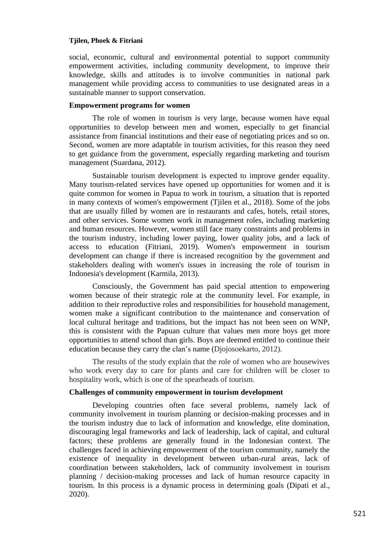social, economic, cultural and environmental potential to support community empowerment activities, including community development, to improve their knowledge, skills and attitudes is to involve communities in national park management while providing access to communities to use designated areas in a sustainable manner to support conservation.

### **Empowerment programs for women**

The role of women in tourism is very large, because women have equal opportunities to develop between men and women, especially to get financial assistance from financial institutions and their ease of negotiating prices and so on. Second, women are more adaptable in tourism activities, for this reason they need to get guidance from the government, especially regarding marketing and tourism management (Suardana, 2012).

Sustainable tourism development is expected to improve gender equality. Many tourism-related services have opened up opportunities for women and it is quite common for women in Papua to work in tourism, a situation that is reported in many contexts of women's empowerment (Tjilen et al., 2018). Some of the jobs that are usually filled by women are in restaurants and cafes, hotels, retail stores, and other services. Some women work in management roles, including marketing and human resources. However, women still face many constraints and problems in the tourism industry, including lower paying, lower quality jobs, and a lack of access to education (Fitriani, 2019). Women's empowerment in tourism development can change if there is increased recognition by the government and stakeholders dealing with women's issues in increasing the role of tourism in Indonesia's development (Karmila, 2013).

Consciously, the Government has paid special attention to empowering women because of their strategic role at the community level. For example, in addition to their reproductive roles and responsibilities for household management, women make a significant contribution to the maintenance and conservation of local cultural heritage and traditions, but the impact has not been seen on WNP, this is consistent with the Papuan culture that values men more boys get more opportunities to attend school than girls. Boys are deemed entitled to continue their education because they carry the clan's name (Djojosoekarto, 2012).

The results of the study explain that the role of women who are housewives who work every day to care for plants and care for children will be closer to hospitality work, which is one of the spearheads of tourism.

# **Challenges of community empowerment in tourism development**

Developing countries often face several problems, namely lack of community involvement in tourism planning or decision-making processes and in the tourism industry due to lack of information and knowledge, elite domination, discouraging legal frameworks and lack of leadership, lack of capital, and cultural factors; these problems are generally found in the Indonesian context. The challenges faced in achieving empowerment of the tourism community, namely the existence of inequality in development between urban-rural areas, lack of coordination between stakeholders, lack of community involvement in tourism planning / decision-making processes and lack of human resource capacity in tourism. In this process is a dynamic process in determining goals (Dipati et al., 2020).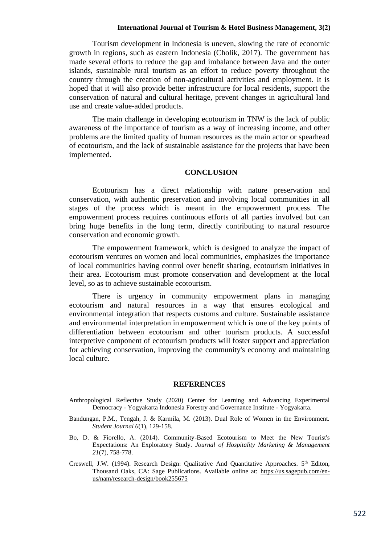#### **International Journal of Tourism & Hotel Business Management, 3(2)**

Tourism development in Indonesia is uneven, slowing the rate of economic growth in regions, such as eastern Indonesia (Cholik, 2017). The government has made several efforts to reduce the gap and imbalance between Java and the outer islands, sustainable rural tourism as an effort to reduce poverty throughout the country through the creation of non-agricultural activities and employment. It is hoped that it will also provide better infrastructure for local residents, support the conservation of natural and cultural heritage, prevent changes in agricultural land use and create value-added products.

The main challenge in developing ecotourism in TNW is the lack of public awareness of the importance of tourism as a way of increasing income, and other problems are the limited quality of human resources as the main actor or spearhead of ecotourism, and the lack of sustainable assistance for the projects that have been implemented.

#### **CONCLUSION**

Ecotourism has a direct relationship with nature preservation and conservation, with authentic preservation and involving local communities in all stages of the process which is meant in the empowerment process. The empowerment process requires continuous efforts of all parties involved but can bring huge benefits in the long term, directly contributing to natural resource conservation and economic growth.

The empowerment framework, which is designed to analyze the impact of ecotourism ventures on women and local communities, emphasizes the importance of local communities having control over benefit sharing, ecotourism initiatives in their area. Ecotourism must promote conservation and development at the local level, so as to achieve sustainable ecotourism.

There is urgency in community empowerment plans in managing ecotourism and natural resources in a way that ensures ecological and environmental integration that respects customs and culture. Sustainable assistance and environmental interpretation in empowerment which is one of the key points of differentiation between ecotourism and other tourism products. A successful interpretive component of ecotourism products will foster support and appreciation for achieving conservation, improving the community's economy and maintaining local culture.

#### **REFERENCES**

- Anthropological Reflective Study (2020) Center for Learning and Advancing Experimental Democracy - Yogyakarta Indonesia Forestry and Governance Institute - Yogyakarta.
- Bandungan, P.M., Tengah, J. & Karmila, M. (2013). Dual Role of Women in the Environment. *Student Journal 6*(1), 129-158.
- Bo, D. & Fiorello, A. (2014). Community-Based Ecotourism to Meet the New Tourist's Expectations: An Exploratory Study. *Journal of Hospitality Marketing & Management 21*(7), 758-778.
- Creswell, J.W. (1994). Research Design: Qualitative And Quantitative Approaches. 5<sup>th</sup> Editon, Thousand Oaks, CA: Sage Publications. Available online at: [https://us.sagepub.com/en](https://us.sagepub.com/en-us/nam/research-design/book255675)[us/nam/research-design/book255675](https://us.sagepub.com/en-us/nam/research-design/book255675)